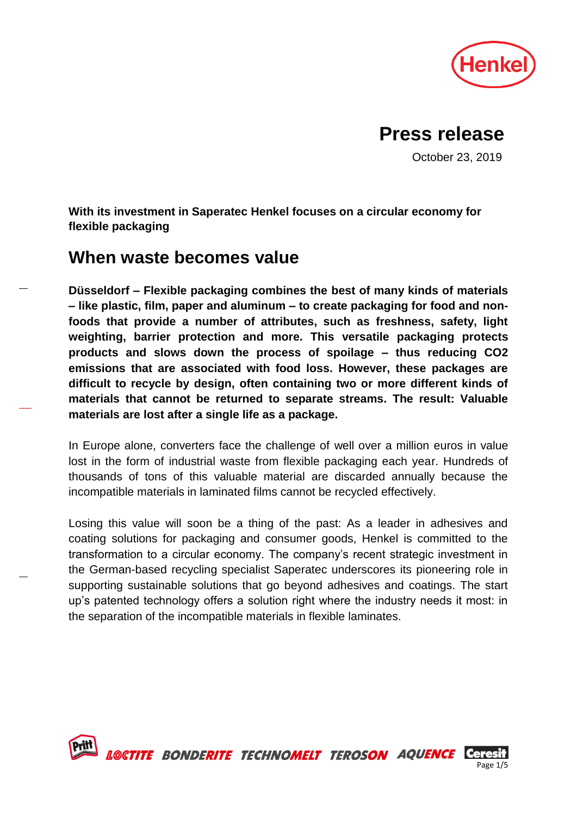

# **Press release**

October 23, 2019

**With its investment in Saperatec Henkel focuses on a circular economy for flexible packaging**

# **When waste becomes value**

**Düsseldorf – Flexible packaging combines the best of many kinds of materials – like plastic, film, paper and aluminum – to create packaging for food and nonfoods that provide a number of attributes, such as freshness, safety, light weighting, barrier protection and more. This versatile packaging protects products and slows down the process of spoilage – thus reducing CO2 emissions that are associated with food loss. However, these packages are difficult to recycle by design, often containing two or more different kinds of materials that cannot be returned to separate streams. The result: Valuable materials are lost after a single life as a package.**

In Europe alone, converters face the challenge of well over a million euros in value lost in the form of industrial waste from flexible packaging each year. Hundreds of thousands of tons of this valuable material are discarded annually because the incompatible materials in laminated films cannot be recycled effectively.

Losing this value will soon be a thing of the past: As a leader in adhesives and coating solutions for packaging and consumer goods, Henkel is committed to the transformation to a circular economy. The company's recent strategic investment in the German-based recycling specialist Saperatec underscores its pioneering role in supporting sustainable solutions that go beyond adhesives and coatings. The start up's patented technology offers a solution right where the industry needs it most: in the separation of the incompatible materials in flexible laminates.



L©CTITE BONDERITE TECHNOMELT TEROSON AQUENCE Ceresit

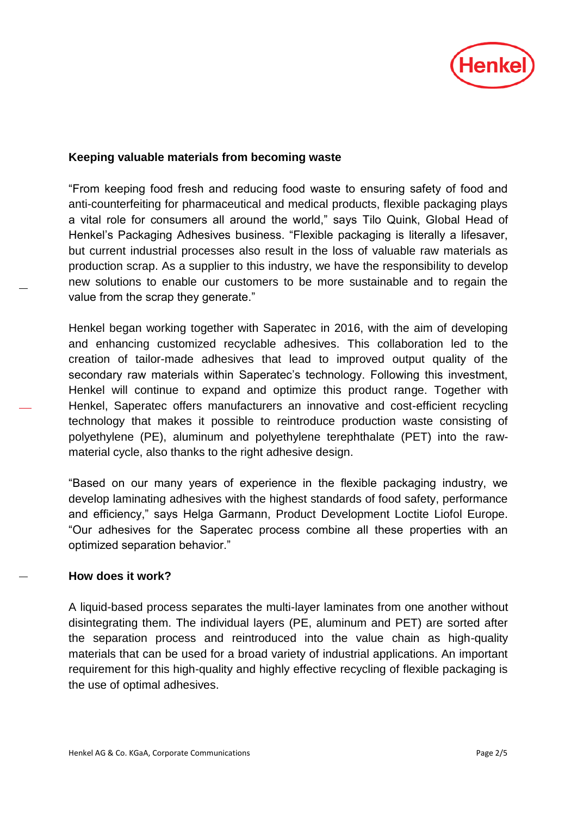

## **Keeping valuable materials from becoming waste**

"From keeping food fresh and reducing food waste to ensuring safety of food and anti-counterfeiting for pharmaceutical and medical products, flexible packaging plays a vital role for consumers all around the world," says Tilo Quink, Global Head of Henkel's Packaging Adhesives business. "Flexible packaging is literally a lifesaver, but current industrial processes also result in the loss of valuable raw materials as production scrap. As a supplier to this industry, we have the responsibility to develop new solutions to enable our customers to be more sustainable and to regain the value from the scrap they generate."

Henkel began working together with Saperatec in 2016, with the aim of developing and enhancing customized recyclable adhesives. This collaboration led to the creation of tailor-made adhesives that lead to improved output quality of the secondary raw materials within Saperatec's technology. Following this investment, Henkel will continue to expand and optimize this product range. Together with Henkel, Saperatec offers manufacturers an innovative and cost-efficient recycling technology that makes it possible to reintroduce production waste consisting of polyethylene (PE), aluminum and polyethylene terephthalate (PET) into the rawmaterial cycle, also thanks to the right adhesive design.

"Based on our many years of experience in the flexible packaging industry, we develop laminating adhesives with the highest standards of food safety, performance and efficiency," says Helga Garmann, Product Development Loctite Liofol Europe. "Our adhesives for the Saperatec process combine all these properties with an optimized separation behavior."

# **How does it work?**

A liquid-based process separates the multi-layer laminates from one another without disintegrating them. The individual layers (PE, aluminum and PET) are sorted after the separation process and reintroduced into the value chain as high-quality materials that can be used for a broad variety of industrial applications. An important requirement for this high-quality and highly effective recycling of flexible packaging is the use of optimal adhesives.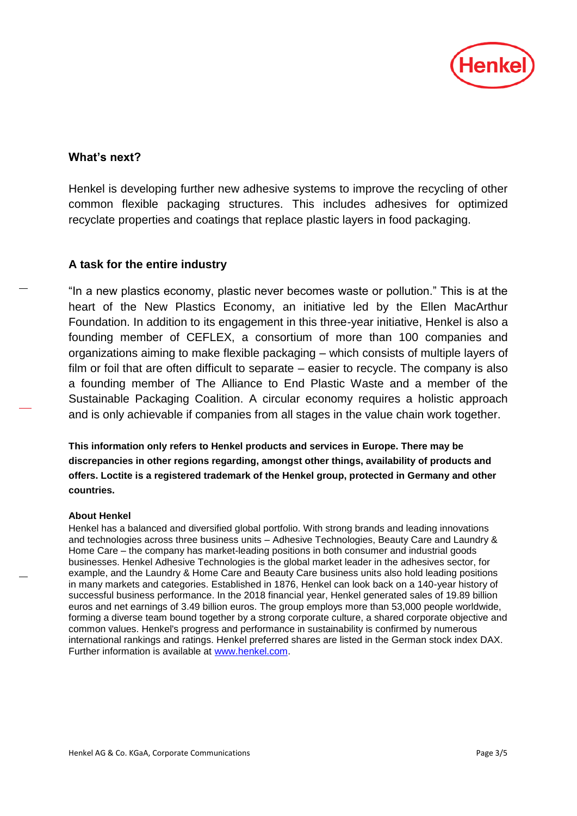

### **What's next?**

Henkel is developing further new adhesive systems to improve the recycling of other common flexible packaging structures. This includes adhesives for optimized recyclate properties and coatings that replace plastic layers in food packaging.

#### **A task for the entire industry**

"In a new plastics economy, plastic never becomes waste or pollution." This is at the heart of the New Plastics Economy, an initiative led by the Ellen MacArthur Foundation. In addition to its engagement in this three-year initiative, Henkel is also a founding member of CEFLEX, a consortium of more than 100 companies and organizations aiming to make flexible packaging – which consists of multiple layers of film or foil that are often difficult to separate – easier to recycle. The company is also a founding member of The Alliance to End Plastic Waste and a member of the Sustainable Packaging Coalition. A circular economy requires a holistic approach and is only achievable if companies from all stages in the value chain work together.

**This information only refers to Henkel products and services in Europe. There may be discrepancies in other regions regarding, amongst other things, availability of products and offers. Loctite is a registered trademark of the Henkel group, protected in Germany and other countries.**

#### **About Henkel**

Henkel has a balanced and diversified global portfolio. With strong brands and leading innovations and technologies across three business units – Adhesive Technologies, Beauty Care and Laundry & Home Care – the company has market-leading positions in both consumer and industrial goods businesses. Henkel Adhesive Technologies is the global market leader in the adhesives sector, for example, and the Laundry & Home Care and Beauty Care business units also hold leading positions in many markets and categories. Established in 1876, Henkel can look back on a 140-year history of successful business performance. In the 2018 financial year, Henkel generated sales of 19.89 billion euros and net earnings of 3.49 billion euros. The group employs more than 53,000 people worldwide, forming a diverse team bound together by a strong corporate culture, a shared corporate objective and common values. Henkel's progress and performance in sustainability is confirmed by numerous international rankings and ratings. Henkel preferred shares are listed in the German stock index DAX. Further information is available at [www.henkel.com.](http://www.henkel.com/)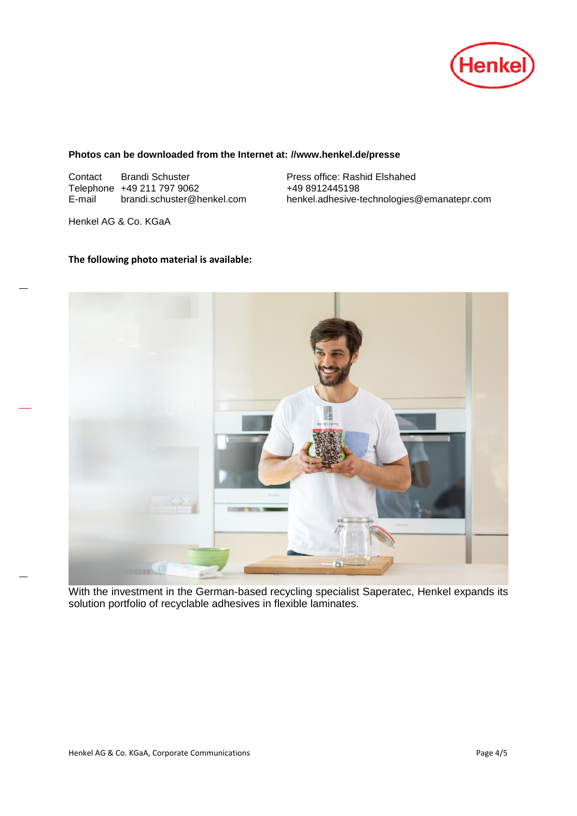

#### **Photos can be downloaded from the Internet at: //www.henkel.de/presse**

Contact Brandi Schuster Press office: Rashid Elshahed Telephone  $+49 211 797 9062$   $+49 8912445198$ <br>E-mail brandi.schuster@henkel.com henkel.adhesive-t

henkel.adhesive-technologies@emanatepr.com

Henkel AG & Co. KGaA

#### **The following photo material is available:**



With the investment in the German-based recycling specialist Saperatec, Henkel expands its solution portfolio of recyclable adhesives in flexible laminates.